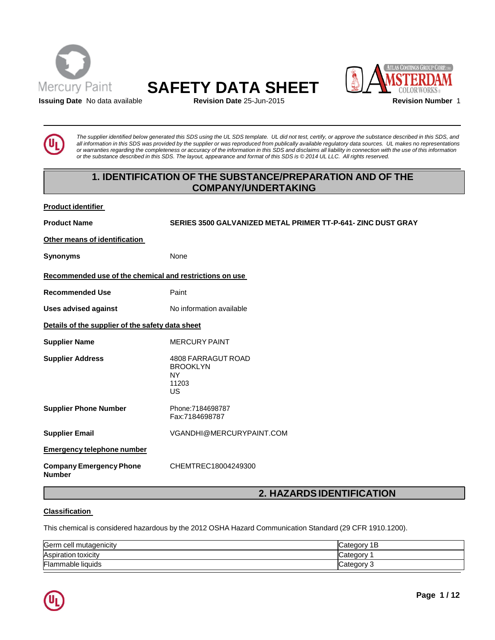





**Issuing Date** No data available **Revision Date** 25-Jun-2015 **Revision Number** 1

The supplier identified below generated this SDS using the UL SDS template. UL did not test, certify, or approve the substance described in this SDS, and all information in this SDS was provided by the supplier or was reproduced from publically available regulatory data sources. UL makes no representations or warranties regarding the completeness or accuracy of the information in this SDS and disclaims all liability in connection with the use of this information or the substance described in this SDS. The layout, appearance and format of this SDS is @2014 UL LLC. All rights reserved.

# **1. IDENTIFICATION OF THE SUBSTANCE/PREPARATION AND OF THE COMPANY/UNDERTAKING**

| <b>Product identifier</b> |
|---------------------------|
|                           |

**Product Name SERIES 3500 GALVANIZED METAL PRIMER TT-P-641- ZINC DUST GRAY**

**Other means of identification**

**Synonyms** None

# **Recommended use of the chemical and restrictions on use**

**Recommended Use** Paint

**Uses advised against** No information available

**Details of the supplier of the safety data sheet**

**Supplier Name** MERCURY PAINT

**Supplier Address** 4808 FARRAGUT ROAD BROOKLYN NY

11203 US

**Supplier Phone Number** Phone:7184698787 Fax:7184698787

**Supplier Email** [VGANDHI@MERCURYPAINT.COM](mailto:VGANDHI@MERCURYPAINT.COM)

# **Emergency telephone number**

**Company Emergency Phone Number**

CHEMTREC18004249300

# **2. HAZARDSIDENTIFICATION**

### **Classification**

This chemical is considered hazardous by the 2012 OSHA Hazard Communication Standard (29 CFR 1910.1200).

| Germ cell mutagenicity     | Category 1B |
|----------------------------|-------------|
| <b>Aspiration toxicity</b> | Category    |
| Flammable liquids          | Category 3  |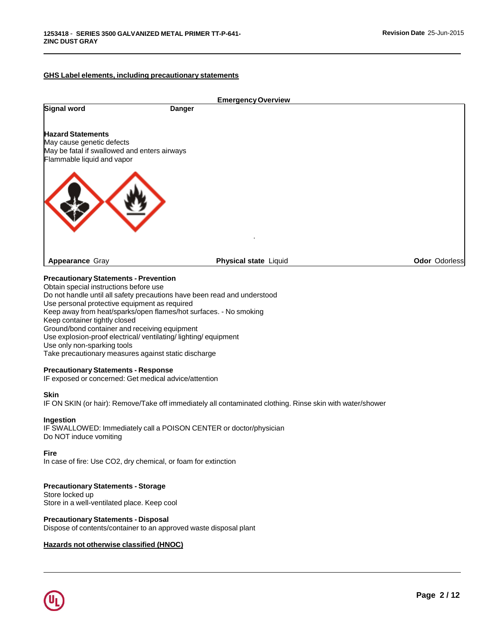### **GHS Label elements, including precautionary statements**



# **Precautionary Statements - Prevention**

Obtain special instructions before use Do not handle until all safety precautions have been read and understood Use personal protective equipment as required Keep away from heat/sparks/open flames/hot surfaces. - No smoking Keep container tightly closed Ground/bond container and receiving equipment Use explosion-proof electrical/ ventilating/ lighting/ equipment Use only non-sparking tools Take precautionary measures against static discharge

### **Precautionary Statements - Response**

IF exposed or concerned: Get medical advice/attention

#### **Skin**

IF ON SKIN (or hair): Remove/Take off immediately all contaminated clothing. Rinse skin with water/shower

### **Ingestion**

IF SWALLOWED: Immediately call a POISON CENTER or doctor/physician Do NOT induce vomiting

#### **Fire**

In case of fire: Use CO2, dry chemical, or foam for extinction

### **Precautionary Statements - Storage**

Store locked up Store in a well-ventilated place. Keep cool

### **Precautionary Statements - Disposal**

Dispose of contents/container to an approved waste disposal plant

### **Hazards not otherwise classified (HNOC)**

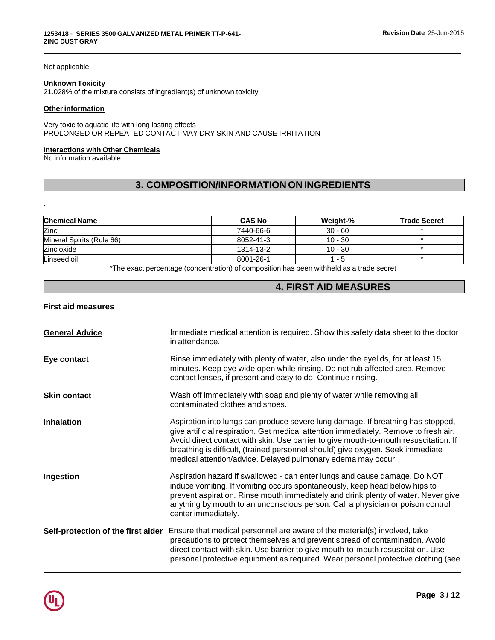### Not applicable

### **Unknown Toxicity**

21.028% of the mixture consists of ingredient(s) of unknown toxicity

#### **Other information**

Very toxic to aquatic life with long lasting effects PROLONGED OR REPEATED CONTACT MAY DRY SKIN AND CAUSE IRRITATION

#### **Interactions with Other Chemicals**

No information available.

.

# **3. COMPOSITION/INFORMATION ON INGREDIENTS**

| <b>CAS No</b> | Weight-%  | <b>Trade Secret</b> |
|---------------|-----------|---------------------|
| 7440-66-6     | $30 - 60$ |                     |
| 8052-41-3     | $10 - 30$ |                     |
| 1314-13-2     | $10 - 30$ |                     |
| 8001-26-1     | 1 - 5     |                     |
|               |           |                     |

\*The exact percentage (concentration) of composition has been withheld as a trade secret

# **4. FIRST AID MEASURES**

### **First aid measures**

| <b>General Advice</b>              | Immediate medical attention is required. Show this safety data sheet to the doctor<br>in attendance.                                                                                                                                                                                                                                                                                                              |
|------------------------------------|-------------------------------------------------------------------------------------------------------------------------------------------------------------------------------------------------------------------------------------------------------------------------------------------------------------------------------------------------------------------------------------------------------------------|
| Eye contact                        | Rinse immediately with plenty of water, also under the eyelids, for at least 15<br>minutes. Keep eye wide open while rinsing. Do not rub affected area. Remove<br>contact lenses, if present and easy to do. Continue rinsing.                                                                                                                                                                                    |
| <b>Skin contact</b>                | Wash off immediately with soap and plenty of water while removing all<br>contaminated clothes and shoes.                                                                                                                                                                                                                                                                                                          |
| <b>Inhalation</b>                  | Aspiration into lungs can produce severe lung damage. If breathing has stopped,<br>give artificial respiration. Get medical attention immediately. Remove to fresh air.<br>Avoid direct contact with skin. Use barrier to give mouth-to-mouth resuscitation. If<br>breathing is difficult, (trained personnel should) give oxygen. Seek immediate<br>medical attention/advice. Delayed pulmonary edema may occur. |
| Ingestion                          | Aspiration hazard if swallowed - can enter lungs and cause damage. Do NOT<br>induce vomiting. If vomiting occurs spontaneously, keep head below hips to<br>prevent aspiration. Rinse mouth immediately and drink plenty of water. Never give<br>anything by mouth to an unconscious person. Call a physician or poison control<br>center immediately.                                                             |
| Self-protection of the first aider | Ensure that medical personnel are aware of the material(s) involved, take<br>precautions to protect themselves and prevent spread of contamination. Avoid<br>direct contact with skin. Use barrier to give mouth-to-mouth resuscitation. Use<br>personal protective equipment as required. Wear personal protective clothing (see                                                                                 |

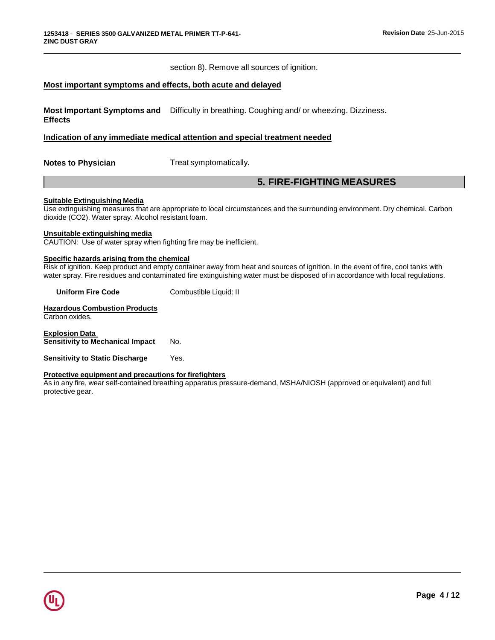section 8). Remove all sources of ignition.

### **Most important symptoms and effects, both acute and delayed**

**Most Important Symptoms and** Difficulty in breathing. Coughing and/ or wheezing. Dizziness. **Effects**

### **Indication of any immediate medical attention and special treatment needed**

**Notes to Physician** Treat symptomatically.

# **5. FIRE-FIGHTING MEASURES**

### **Suitable Extinguishing Media**

Use extinguishing measures that are appropriate to local circumstances and the surrounding environment. Dry chemical. Carbon dioxide (CO2). Water spray. Alcohol resistant foam.

#### **Unsuitable extinguishing media**

CAUTION: Use of water spray when fighting fire may be inefficient.

# **Specific hazards arising from the chemical**

Risk of ignition. Keep product and empty container away from heat and sources of ignition. In the event of fire, cool tanks with water spray. Fire residues and contaminated fire extinguishing water must be disposed of in accordance with local regulations.

**Uniform Fire Code** Combustible Liquid: II

**Hazardous Combustion Products** Carbon oxides.

**Explosion Data Sensitivity to Mechanical Impact** No.

**Sensitivity to Static Discharge** Yes.

#### **Protective equipment and precautions for firefighters**

As in any fire, wear self-contained breathing apparatus pressure-demand, MSHA/NIOSH (approved or equivalent) and full protective gear.

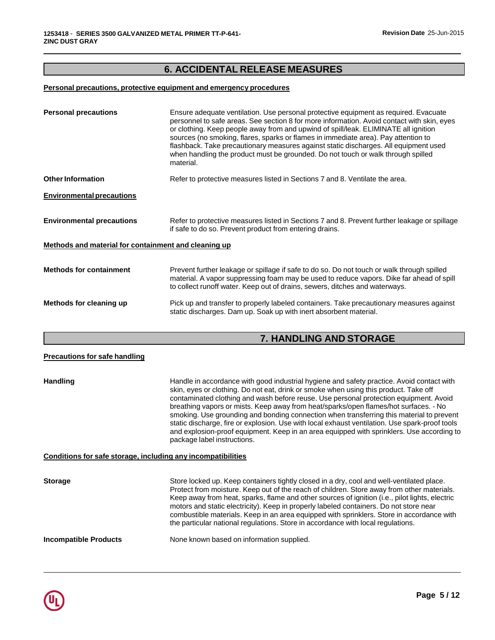# **6. ACCIDENTAL RELEASE MEASURES**

# **Personal precautions, protective equipment and emergency procedures**

| <b>Personal precautions</b>                          | Ensure adequate ventilation. Use personal protective equipment as required. Evacuate<br>personnel to safe areas. See section 8 for more information. Avoid contact with skin, eyes<br>or clothing. Keep people away from and upwind of spill/leak. ELIMINATE all ignition<br>sources (no smoking, flares, sparks or flames in immediate area). Pay attention to<br>flashback. Take precautionary measures against static discharges. All equipment used<br>when handling the product must be grounded. Do not touch or walk through spilled<br>material. |
|------------------------------------------------------|----------------------------------------------------------------------------------------------------------------------------------------------------------------------------------------------------------------------------------------------------------------------------------------------------------------------------------------------------------------------------------------------------------------------------------------------------------------------------------------------------------------------------------------------------------|
| <b>Other Information</b>                             | Refer to protective measures listed in Sections 7 and 8. Ventilate the area.                                                                                                                                                                                                                                                                                                                                                                                                                                                                             |
| <b>Environmental precautions</b>                     |                                                                                                                                                                                                                                                                                                                                                                                                                                                                                                                                                          |
| <b>Environmental precautions</b>                     | Refer to protective measures listed in Sections 7 and 8. Prevent further leakage or spillage<br>if safe to do so. Prevent product from entering drains.                                                                                                                                                                                                                                                                                                                                                                                                  |
| Methods and material for containment and cleaning up |                                                                                                                                                                                                                                                                                                                                                                                                                                                                                                                                                          |
| <b>Methods for containment</b>                       | Prevent further leakage or spillage if safe to do so. Do not touch or walk through spilled<br>material. A vapor suppressing foam may be used to reduce vapors. Dike far ahead of spill<br>to collect runoff water. Keep out of drains, sewers, ditches and waterways.                                                                                                                                                                                                                                                                                    |
| Methods for cleaning up                              | Pick up and transfer to properly labeled containers. Take precautionary measures against<br>static discharges. Dam up. Soak up with inert absorbent material.                                                                                                                                                                                                                                                                                                                                                                                            |

# **7. HANDLING AND STORAGE**

| <b>Precautions for safe handling</b>                         |                                                                                                                                                                                                                                                                                                                                                                                                                                                                                                                                                                                                                                                                                              |
|--------------------------------------------------------------|----------------------------------------------------------------------------------------------------------------------------------------------------------------------------------------------------------------------------------------------------------------------------------------------------------------------------------------------------------------------------------------------------------------------------------------------------------------------------------------------------------------------------------------------------------------------------------------------------------------------------------------------------------------------------------------------|
| <b>Handling</b>                                              | Handle in accordance with good industrial hygiene and safety practice. Avoid contact with<br>skin, eyes or clothing. Do not eat, drink or smoke when using this product. Take off<br>contaminated clothing and wash before reuse. Use personal protection equipment. Avoid<br>breathing vapors or mists. Keep away from heat/sparks/open flames/hot surfaces. - No<br>smoking. Use grounding and bonding connection when transferring this material to prevent<br>static discharge, fire or explosion. Use with local exhaust ventilation. Use spark-proof tools<br>and explosion-proof equipment. Keep in an area equipped with sprinklers. Use according to<br>package label instructions. |
| Conditions for safe storage, including any incompatibilities |                                                                                                                                                                                                                                                                                                                                                                                                                                                                                                                                                                                                                                                                                              |
| <b>Storage</b>                                               | Store locked up. Keep containers tightly closed in a dry, cool and well-ventilated place.<br>Protect from moisture. Keep out of the reach of children. Store away from other materials.<br>Keep away from heat, sparks, flame and other sources of ignition (i.e., pilot lights, electric<br>motors and static electricity). Keep in properly labeled containers. Do not store near<br>combustible materials. Keep in an area equipped with sprinklers. Store in accordance with<br>the particular national regulations. Store in accordance with local regulations.                                                                                                                         |
| <b>Incompatible Products</b>                                 | None known based on information supplied.                                                                                                                                                                                                                                                                                                                                                                                                                                                                                                                                                                                                                                                    |

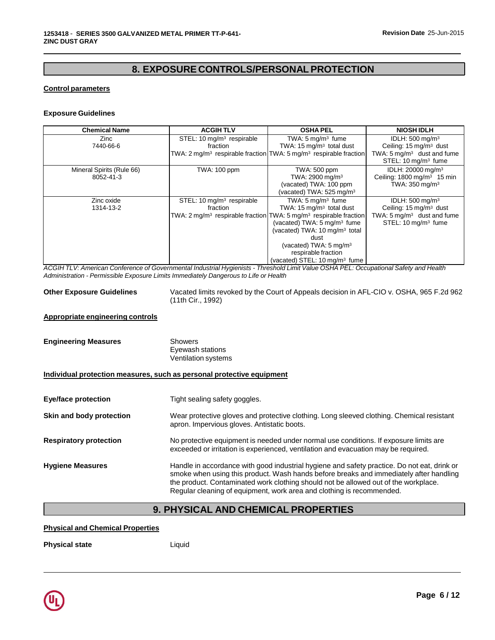# **8. EXPOSURE CONTROLS/PERSONALPROTECTION**

# **Control parameters**

### **Exposure Guidelines**

| <b>Chemical Name</b>      | <b>ACGIHTLV</b>                       | <b>OSHA PEL</b>                                                                           | <b>NIOSH IDLH</b>                        |
|---------------------------|---------------------------------------|-------------------------------------------------------------------------------------------|------------------------------------------|
| Zinc                      | STEL: 10 mg/m <sup>3</sup> respirable | TWA: $5 \text{ mg/m}^3$ fume                                                              | IDLH: $500 \text{ mg/m}^3$               |
| 7440-66-6                 | fraction                              | TWA: 15 mg/m <sup>3</sup> total dust                                                      | Ceiling: 15 mg/m <sup>3</sup> dust       |
|                           |                                       | TWA: 2 mg/m <sup>3</sup> respirable fraction TWA: 5 mg/m <sup>3</sup> respirable fraction | TWA: $5 \text{ mg/m}^3$ dust and fume    |
|                           |                                       |                                                                                           | STEL: 10 mg/m <sup>3</sup> fume          |
| Mineral Spirits (Rule 66) | <b>TWA: 100 ppm</b>                   | TWA: 500 ppm                                                                              | IDLH: 20000 mg/m <sup>3</sup>            |
| 8052-41-3                 |                                       | TWA: 2900 mg/m <sup>3</sup>                                                               | Ceiling: $1800$ mg/m <sup>3</sup> 15 min |
|                           |                                       | (vacated) TWA: 100 ppm                                                                    | TWA: 350 mg/m <sup>3</sup>               |
|                           |                                       | (vacated) TWA: 525 mg/m <sup>3</sup>                                                      |                                          |
| Zinc oxide                | STEL: 10 mg/m <sup>3</sup> respirable | TWA: $5 \text{ mg/m}^3$ fume                                                              | IDLH: $500 \text{ mg/m}^3$               |
| 1314-13-2                 | fraction                              | TWA: 15 mg/m <sup>3</sup> total dust                                                      | Ceiling: 15 mg/m <sup>3</sup> dust       |
|                           |                                       | TWA: $2 \text{ mq/m}^3$ respirable fraction TWA: $5 \text{ mq/m}^3$ respirable fraction   | TWA: $5 \text{ mg/m}^3$ dust and fume    |
|                           |                                       | (vacated) TWA: $5 \text{ mg/m}^3$ fume                                                    | STEL: 10 mg/m <sup>3</sup> fume          |
|                           |                                       | (vacated) TWA: 10 mg/m <sup>3</sup> total                                                 |                                          |
|                           |                                       | dust                                                                                      |                                          |
|                           |                                       | (vacated) TWA: $5 \text{ mg/m}^3$                                                         |                                          |
|                           |                                       | respirable fraction                                                                       |                                          |
|                           |                                       | (vacated) STEL: 10 mg/m <sup>3</sup> fume                                                 |                                          |

ACGIH TLV: American Conference of Governmental Industrial Hygienists - Threshold Limit Value OSHA PEL: Occupational Safety and Health *Administration - Permissible Exposure Limits Immediately Dangerous to Life or Health*

**Other Exposure Guidelines** Vacated limits revoked by the Court of Appeals decision in AFL-CIO v. OSHA, 965 F.2d 962 (11th Cir., 1992)

#### **Appropriate engineering controls**

| <b>Engineering Measures</b> | Showers<br>Eyewash stations<br>Ventilation systems |
|-----------------------------|----------------------------------------------------|
|                             |                                                    |

### **Individual protection measures, such as personal protective equipment**

| Eye/face protection           | Tight sealing safety goggles.                                                                                                                                                                                                                                                                                                                         |
|-------------------------------|-------------------------------------------------------------------------------------------------------------------------------------------------------------------------------------------------------------------------------------------------------------------------------------------------------------------------------------------------------|
| Skin and body protection      | Wear protective gloves and protective clothing. Long sleeved clothing. Chemical resistant<br>apron. Impervious gloves. Antistatic boots.                                                                                                                                                                                                              |
| <b>Respiratory protection</b> | No protective equipment is needed under normal use conditions. If exposure limits are<br>exceeded or irritation is experienced, ventilation and evacuation may be required.                                                                                                                                                                           |
| <b>Hygiene Measures</b>       | Handle in accordance with good industrial hygiene and safety practice. Do not eat, drink or<br>smoke when using this product. Wash hands before breaks and immediately after handling<br>the product. Contaminated work clothing should not be allowed out of the workplace.<br>Regular cleaning of equipment, work area and clothing is recommended. |

# **9. PHYSICAL AND CHEMICAL PROPERTIES**

#### **Physical and Chemical Properties**

**Physical state** Liquid

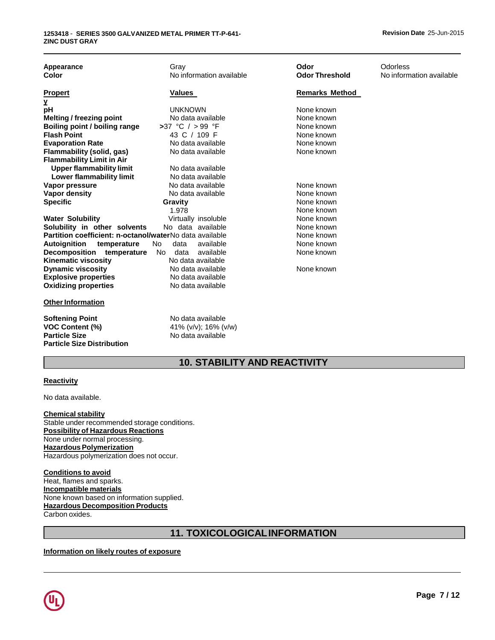| Appearance<br>Color                                                                                           | Gray<br>No information available                               | Odor<br><b>Odor Threshold</b> | Odorless<br>No information available |
|---------------------------------------------------------------------------------------------------------------|----------------------------------------------------------------|-------------------------------|--------------------------------------|
| <b>Propert</b>                                                                                                | Values                                                         | <b>Remarks Method</b>         |                                      |
| Y                                                                                                             |                                                                |                               |                                      |
| рH                                                                                                            | <b>UNKNOWN</b>                                                 | None known                    |                                      |
| Melting / freezing point                                                                                      | No data available                                              | None known                    |                                      |
| Boiling point / boiling range                                                                                 | >37 °C / > 99 °F                                               | None known                    |                                      |
| <b>Flash Point</b>                                                                                            | 43 C / 109 F                                                   | None known                    |                                      |
| <b>Evaporation Rate</b>                                                                                       | No data available                                              | None known                    |                                      |
| <b>Flammability (solid, gas)</b>                                                                              | No data available                                              | None known                    |                                      |
| <b>Flammability Limit in Air</b>                                                                              |                                                                |                               |                                      |
| <b>Upper flammability limit</b>                                                                               | No data available                                              |                               |                                      |
| Lower flammability limit                                                                                      | No data available                                              |                               |                                      |
| Vapor pressure                                                                                                | No data available                                              | None known                    |                                      |
| <b>Vapor density</b>                                                                                          | No data available                                              | None known                    |                                      |
| <b>Specific</b>                                                                                               | Gravity                                                        | None known                    |                                      |
|                                                                                                               | 1.978                                                          | None known                    |                                      |
| <b>Water Solubility</b>                                                                                       | Virtually insoluble                                            | None known                    |                                      |
| Solubility in other solvents                                                                                  | No data available                                              | None known                    |                                      |
| Partition coefficient: n-octanol/waterNo data available                                                       |                                                                | None known                    |                                      |
| Autoignition<br>temperature                                                                                   | available<br>data<br>No.                                       | None known                    |                                      |
| Decomposition temperature                                                                                     | data available<br>No.                                          | None known                    |                                      |
| <b>Kinematic viscosity</b>                                                                                    | No data available                                              |                               |                                      |
| <b>Dynamic viscosity</b>                                                                                      | No data available                                              | None known                    |                                      |
| <b>Explosive properties</b>                                                                                   | No data available                                              |                               |                                      |
| <b>Oxidizing properties</b>                                                                                   | No data available                                              |                               |                                      |
| <b>Other Information</b>                                                                                      |                                                                |                               |                                      |
| <b>Softening Point</b><br><b>VOC Content (%)</b><br><b>Particle Size</b><br><b>Particle Size Distribution</b> | No data available<br>41% (v/v); 16% (v/w)<br>No data available |                               |                                      |

# **10. STABILITY AND REACTIVITY**

### **Reactivity**

No data available.

**Chemical stability** Stable under recommended storage conditions. **Possibility of Hazardous Reactions** None under normal processing. **Hazardous Polymerization** Hazardous polymerization does not occur.

**Conditions to avoid** Heat, flames and sparks. **Incompatible materials** None known based on information supplied. **Hazardous Decomposition Products** Carbon oxides.

# **11. TOXICOLOGICALINFORMATION**

## **Information on likely routes of exposure**

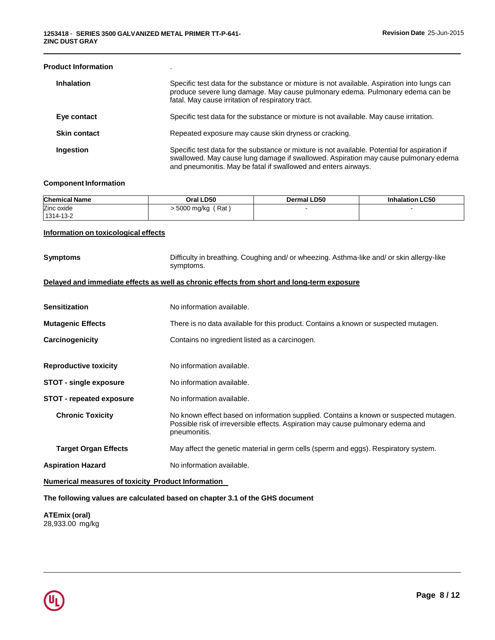### **Product Information** .

| <b>Inhalation</b>   | Specific test data for the substance or mixture is not available. Aspiration into lungs can<br>produce severe lung damage. May cause pulmonary edema. Pulmonary edema can be<br>fatal. May cause irritation of respiratory tract.                      |
|---------------------|--------------------------------------------------------------------------------------------------------------------------------------------------------------------------------------------------------------------------------------------------------|
| Eye contact         | Specific test data for the substance or mixture is not available. May cause irritation.                                                                                                                                                                |
| <b>Skin contact</b> | Repeated exposure may cause skin dryness or cracking.                                                                                                                                                                                                  |
| Ingestion           | Specific test data for the substance or mixture is not available. Potential for aspiration if<br>swallowed. May cause lung damage if swallowed. Aspiration may cause pulmonary edema<br>and pneumonitis. May be fatal if swallowed and enters airways. |

### **Component Information**

| <b>Chemical Name</b> | Oral LD50               | Dermal LD50 | <b>Inhalation LC50</b> |
|----------------------|-------------------------|-------------|------------------------|
| Zinc oxide           | ٔ Rat )<br>- 5000 mg/kg |             |                        |
| 1314-13-2            |                         |             |                        |

### **Information on toxicological effects**

| <b>Symptoms</b>                                           | Difficulty in breathing. Coughing and/ or wheezing. Asthma-like and/ or skin allergy-like<br>symptoms.                                                                                   |
|-----------------------------------------------------------|------------------------------------------------------------------------------------------------------------------------------------------------------------------------------------------|
|                                                           | Delayed and immediate effects as well as chronic effects from short and long-term exposure                                                                                               |
| <b>Sensitization</b>                                      | No information available.                                                                                                                                                                |
| <b>Mutagenic Effects</b>                                  | There is no data available for this product. Contains a known or suspected mutagen.                                                                                                      |
| Carcinogenicity                                           | Contains no ingredient listed as a carcinogen.                                                                                                                                           |
| <b>Reproductive toxicity</b>                              | No information available.                                                                                                                                                                |
| <b>STOT - single exposure</b>                             | No information available.                                                                                                                                                                |
| <b>STOT - repeated exposure</b>                           | No information available.                                                                                                                                                                |
| <b>Chronic Toxicity</b>                                   | No known effect based on information supplied. Contains a known or suspected mutagen.<br>Possible risk of irreversible effects. Aspiration may cause pulmonary edema and<br>pneumonitis. |
| <b>Target Organ Effects</b>                               | May affect the genetic material in germ cells (sperm and eggs). Respiratory system.                                                                                                      |
| <b>Aspiration Hazard</b>                                  | No information available.                                                                                                                                                                |
| <b>Numerical measures of toxicity Product Information</b> |                                                                                                                                                                                          |

**The following values are calculated based on chapter 3.1 of the GHS document**

**ATEmix (oral)** 28,933.00 mg/kg

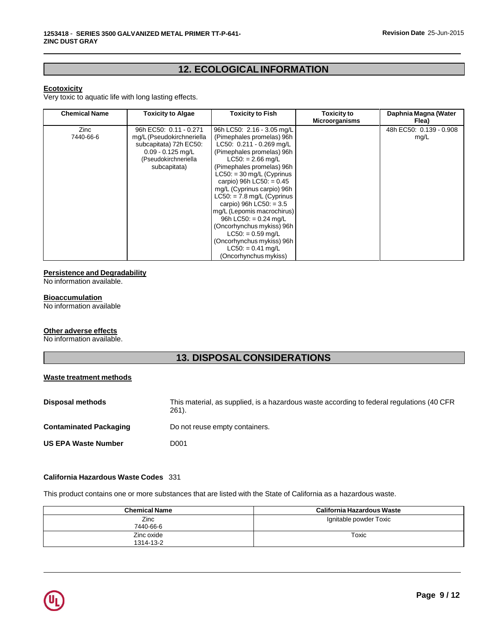# **12. ECOLOGICALINFORMATION**

### **Ecotoxicity**

Very toxic to aquatic life with long lasting effects.

| <b>Chemical Name</b> | <b>Toxicity to Algae</b>                                                                                                                     | <b>Toxicity to Fish</b>                                                                                                                                                                                                                                                                                                                                                               | Toxicity to           | Daphnia Magna (Water                     |
|----------------------|----------------------------------------------------------------------------------------------------------------------------------------------|---------------------------------------------------------------------------------------------------------------------------------------------------------------------------------------------------------------------------------------------------------------------------------------------------------------------------------------------------------------------------------------|-----------------------|------------------------------------------|
| Zinc<br>7440-66-6    | 96h EC50: 0.11 - 0.271<br>mg/L (Pseudokirchneriella<br>subcapitata) 72h EC50:<br>$0.09 - 0.125$ mg/L<br>(Pseudokirchneriella<br>subcapitata) | 96h LC50: 2.16 - 3.05 mg/L<br>(Pimephales promelas) 96h<br>LC50: 0.211 - 0.269 mg/L<br>(Pimephales promelas) 96h<br>$LC50: = 2.66$ mg/L<br>(Pimephales promelas) 96h<br>$LC50: = 30$ mg/L (Cyprinus<br>carpio) 96h LC50: = $0.45$<br>mg/L (Cyprinus carpio) 96h<br>$LC50: = 7.8$ mg/L (Cyprinus<br>carpio) 96h $LC50: = 3.5$<br>mg/L (Lepomis macrochirus)<br>96h LC50: = $0.24$ mg/L | <b>Microorganisms</b> | Flea)<br>48h EC50: 0.139 - 0.908<br>mg/L |
|                      |                                                                                                                                              | (Oncorhynchus mykiss) 96h<br>$LC50: = 0.59$ mg/L<br>(Oncorhynchus mykiss) 96h<br>$LC50: = 0.41$ mg/L<br>(Oncorhynchus mykiss)                                                                                                                                                                                                                                                         |                       |                                          |

#### **Persistence and Degradability**

No information available.

### **Bioaccumulation**

No information available

### **Other adverse effects**

No information available.

# **13. DISPOSALCONSIDERATIONS**

### **Waste treatment methods**

| Disposal methods              | This material, as supplied, is a hazardous waste according to federal regulations (40 CFR)<br>261). |
|-------------------------------|-----------------------------------------------------------------------------------------------------|
| <b>Contaminated Packaging</b> | Do not reuse empty containers.                                                                      |
| <b>US EPA Waste Number</b>    | D001                                                                                                |

### **California Hazardous Waste Codes** 331

This product contains one or more substances that are listed with the State of California as a hazardous waste.

| <b>Chemical Name</b>    | California Hazardous Waste |
|-------------------------|----------------------------|
| Zinc<br>7440-66-6       | Ignitable powder Toxic     |
| Zinc oxide<br>1314-13-2 | Toxic                      |

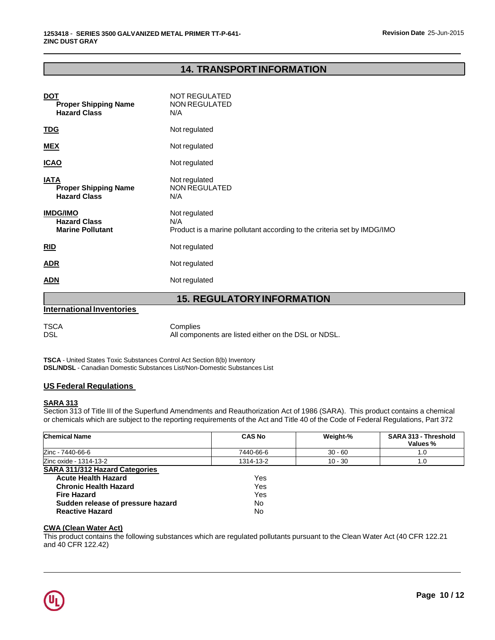# **14. TRANSPORTINFORMATION**

| <b>DOT</b><br><b>Proper Shipping Name</b><br><b>Hazard Class</b>  | <b>NOT REGULATED</b><br><b>NON REGULATED</b><br>N/A                                             |
|-------------------------------------------------------------------|-------------------------------------------------------------------------------------------------|
| <u>TDG</u>                                                        | Not regulated                                                                                   |
| <u>MEX</u>                                                        | Not regulated                                                                                   |
| <u>ICAO</u>                                                       | Not regulated                                                                                   |
| <u>IATA</u><br><b>Proper Shipping Name</b><br><b>Hazard Class</b> | Not regulated<br>NON REGULATED<br>N/A                                                           |
| <b>IMDG/IMO</b><br><b>Hazard Class</b><br><b>Marine Pollutant</b> | Not regulated<br>N/A<br>Product is a marine pollutant according to the criteria set by IMDG/IMO |
| RID                                                               | Not regulated                                                                                   |
| <u>ADR</u>                                                        | Not regulated                                                                                   |
| <b>ADN</b>                                                        | Not regulated                                                                                   |

# **15. REGULATORYINFORMATION**

|  | <b>International Inventories</b> |  |
|--|----------------------------------|--|
|--|----------------------------------|--|

TSCA Complies DSL DSL All components are listed either on the DSL or NDSL.

**TSCA** - United States Toxic Substances Control Act Section 8(b) Inventory **DSL/NDSL** - Canadian Domestic Substances List/Non-Domestic Substances List

### **US Federal Regulations**

### **SARA 313**

Section 313 of Title III of the Superfund Amendments and Reauthorization Act of 1986 (SARA). This product contains a chemical or chemicals which are subject to the reporting requirements of the Act and Title 40 of the Code of Federal Regulations, Part 372

| <b>Chemical Name</b>                  | <b>CAS No</b> | Weight-%  | SARA 313 - Threshold<br>Values % |
|---------------------------------------|---------------|-----------|----------------------------------|
| Zinc - 7440-66-6                      | 7440-66-6     | $30 - 60$ | 1.0                              |
| Zinc oxide - 1314-13-2                | 1314-13-2     | $10 - 30$ | 1.0                              |
| <b>SARA 311/312 Hazard Categories</b> |               |           |                                  |
| <b>Acute Health Hazard</b>            | Yes           |           |                                  |
| <b>Chronic Health Hazard</b>          | Yes           |           |                                  |
| <b>Fire Hazard</b>                    | Yes           |           |                                  |
| Sudden release of pressure hazard     | No            |           |                                  |
| <b>Reactive Hazard</b>                | No            |           |                                  |

### **CWA (Clean Water Act)**

This product contains the following substances which are regulated pollutants pursuant to the Clean Water Act (40 CFR 122.21 and 40 CFR 122.42)

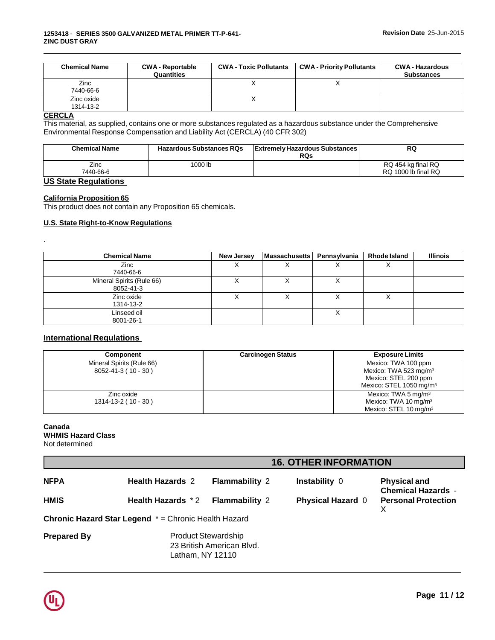|                         | Quantities |   | <b>Substances</b> |
|-------------------------|------------|---|-------------------|
| Zinc<br>7440-66-6       |            | Λ |                   |
| Zinc oxide<br>1314-13-2 |            |   |                   |

#### **CERCLA**

.

This material, as supplied, contains one or more substances regulated as a hazardous substance under the Comprehensive Environmental Response Compensation and Liability Act (CERCLA) (40 CFR 302)

| <b>Chemical Name</b>                                                                                                                                                                                                                                                                                                                                                                                                                                                                  | <b>Hazardous Substances RQs</b> | <b>Extremely Hazardous Substances</b><br><b>RQs</b> | RQ                                        |
|---------------------------------------------------------------------------------------------------------------------------------------------------------------------------------------------------------------------------------------------------------------------------------------------------------------------------------------------------------------------------------------------------------------------------------------------------------------------------------------|---------------------------------|-----------------------------------------------------|-------------------------------------------|
| Zinc<br>7440-66-6                                                                                                                                                                                                                                                                                                                                                                                                                                                                     | 1000 lb                         |                                                     | RQ 454 kg final RQ<br>RQ 1000 lb final RQ |
| $\mathbf{1} \cdot \mathbf{A} \cdot \mathbf{A} \cdot \mathbf{A} \cdot \mathbf{A} \cdot \mathbf{A} \cdot \mathbf{A} \cdot \mathbf{A} \cdot \mathbf{A} \cdot \mathbf{A} \cdot \mathbf{A} \cdot \mathbf{A} \cdot \mathbf{A} \cdot \mathbf{A} \cdot \mathbf{A} \cdot \mathbf{A} \cdot \mathbf{A} \cdot \mathbf{A} \cdot \mathbf{A} \cdot \mathbf{A} \cdot \mathbf{A} \cdot \mathbf{A} \cdot \mathbf{A} \cdot \mathbf{A} \cdot \mathbf{A} \cdot \mathbf{A} \cdot \mathbf{A} \cdot \mathbf{$ |                                 |                                                     |                                           |

# **US State Regulations**

# **California Proposition 65**

This product does not contain any Proposition 65 chemicals.

# **U.S. State Right-to-Know Regulations**

| <b>Chemical Name</b>      | New Jersey | <b>Massachusetts</b> | Pennsylvania | <b>Rhode Island</b> | <b>Illinois</b> |
|---------------------------|------------|----------------------|--------------|---------------------|-----------------|
| Zinc                      | ⌒          |                      | ⌒            |                     |                 |
| 7440-66-6                 |            |                      |              |                     |                 |
| Mineral Spirits (Rule 66) | ⌒          |                      | ⌒            |                     |                 |
| 8052-41-3                 |            |                      |              |                     |                 |
| Zinc oxide                | ∧          |                      |              |                     |                 |
| 1314-13-2                 |            |                      |              |                     |                 |
| Linseed oil               |            |                      | ↗            |                     |                 |
| 8001-26-1                 |            |                      |              |                     |                 |

# **International Regulations**

| Component                                        | <b>Carcinogen Status</b> | <b>Exposure Limits</b>                                                                                         |
|--------------------------------------------------|--------------------------|----------------------------------------------------------------------------------------------------------------|
| Mineral Spirits (Rule 66)<br>8052-41-3 (10 - 30) |                          | Mexico: TWA 100 ppm<br>Mexico: TWA 523 mg/m $3$<br>Mexico: STEL 200 ppm<br>Mexico: STEL 1050 mg/m <sup>3</sup> |
| Zinc oxide<br>$1314 - 13 - 2(10 - 30)$           |                          | Mexico: TWA 5 mg/m <sup>3</sup><br>Mexico: TWA 10 mg/m <sup>3</sup><br>Mexico: STEL 10 mg/m <sup>3</sup>       |

#### **Canada WHMIS Hazard Class**

Not determined

|                    | <b>16. OTHER INFORMATION</b>                                |                                                         |                          |                                                  |
|--------------------|-------------------------------------------------------------|---------------------------------------------------------|--------------------------|--------------------------------------------------|
| <b>NFPA</b>        | <b>Health Hazards 2</b>                                     | <b>Flammability 2</b>                                   | Instability 0            | <b>Physical and</b><br><b>Chemical Hazards -</b> |
| <b>HMIS</b>        | Health Hazards *2                                           | <b>Flammability 2</b>                                   | <b>Physical Hazard 0</b> | <b>Personal Protection</b><br>x                  |
|                    | <b>Chronic Hazard Star Legend</b> * = Chronic Health Hazard |                                                         |                          |                                                  |
| <b>Prepared By</b> | Latham, NY 12110                                            | <b>Product Stewardship</b><br>23 British American Blvd. |                          |                                                  |